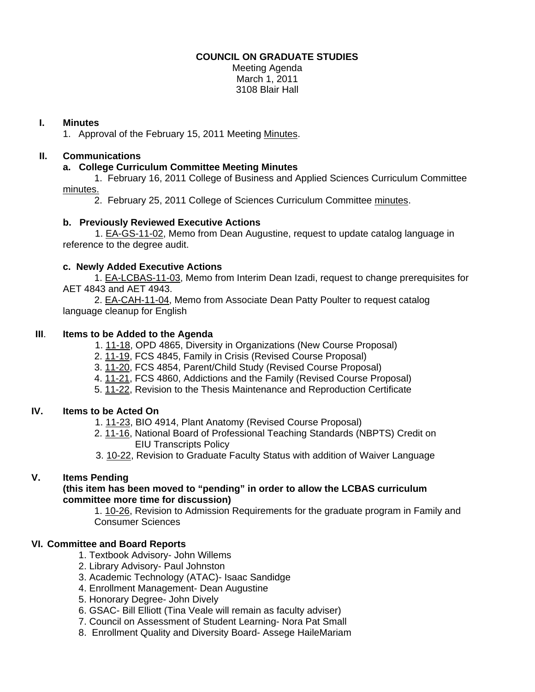### **COUNCIL ON GRADUATE STUDIES**

Meeting Agenda March 1, 2011 3108 Blair Hall

### **I. Minutes**

1. Approval of the February 15, 2011 Meeti[ng Minutes.](http://castle.eiu.edu/~eiucgs/currentminutes/Minutes2-15-11.pdf) 

# **II. Communications**

### **a. College Curriculum Committee Meeting Minutes**

 1. February 16, 2011 College of Business and Applied Sciences Curriculum Committee [minutes.](http://www.eiu.edu/~eiucgs/currentagendaitems/LCBASMin2-16-11.pdf)

2. February 25, 2011 College of Sciences Curriculum Committ[ee minutes.](http://www.eiu.edu/~eiucgs/currentagendaitems/COSMin2-25-11.pdf) 

#### **b. Previously Reviewed Executive Actions**

 [1. EA-GS-11-02,](http://castle.eiu.edu/~eiucgs/exec-actions/EA-GS-11-02.pdf) Memo from Dean Augustine, request to update catalog language in reference to the degree audit.

#### **c. Newly Added Executive Actions**

 [1. EA-LCBAS-11-03, M](http://castle.eiu.edu/~eiucgs/exec-actions/EA-LCBAS-11-03.pdf)emo from Interim Dean Izadi, request to change prerequisites for AET 4843 and AET 4943.

 [2. EA-CAH-11-04, M](http://castle.eiu.edu/~eiucgs/exec-actions/EA-CAH-11-04.pdf)emo from Associate Dean Patty Poulter to request catalog language cleanup for English

#### **III**. **Items to be Added to the Agenda**

1. [11-18, O](http://www.eiu.edu/~eiucgs/currentagendaitems/agenda11-18.pdf)PD 4865, Diversity in Organizations (New Course Proposal)

[2. 11-19, F](http://www.eiu.edu/~eiucgs/currentagendaitems/agenda11-19.pdf)CS 4845, Family in Crisis (Revised Course Proposal)

- 3[. 11-20, F](http://www.eiu.edu/~eiucgs/currentagendaitems/agenda11-20.pdf)CS 4854, Parent/Child Study (Revised Course Proposal)
- 4[. 11-21, F](http://www.eiu.edu/~eiucgs/currentagendaitems/agenda11-21.pdf)CS 4860, Addictions and the Family (Revised Course Proposal)

5. [11-22, R](http://www.eiu.edu/~eiucgs/currentagendaitems/agenda11-22.pdf)evision to the Thesis Maintenance and Reproduction Certificate

# **IV. Items to be Acted On**

- [1. 11-2](http://www.eiu.edu/~eiucgs/currentagendaitems/agenda11-23.pdf)3, BIO 4914, Plant Anatomy (Revised Course Proposal)
- 2. [11-16, N](http://www.eiu.edu/~eiucgs/currentagendaitems/agenda11-16.pdf)ational Board of Professional Teaching Standards (NBPTS) Credit on EIU Transcripts Policy

3[. 10-22, R](http://www.eiu.edu/~eiucgs/currentagendaitems/agenda10-22.pdf)evision to Graduate Faculty Status with addition of Waiver Language

# **V. Items Pending**

#### **(this item has been moved to "pending" in order to allow the LCBAS curriculum committee more time for discussion)**

1. [10-26,](http://www.eiu.edu/~eiucgs/currentagendaitems/agenda10-26.pdf) Revision to Admission Requirements for the graduate program in Family and Consumer Sciences

# **VI. Committee and Board Reports**

- 1. Textbook Advisory- John Willems
- 2. Library Advisory- Paul Johnston
- 3. Academic Technology (ATAC)- Isaac Sandidge
- 4. Enrollment Management- Dean Augustine
- 5. Honorary Degree- John Dively
- 6. GSAC- Bill Elliott (Tina Veale will remain as faculty adviser)
- 7. Council on Assessment of Student Learning- Nora Pat Small
- 8. Enrollment Quality and Diversity Board- Assege HaileMariam